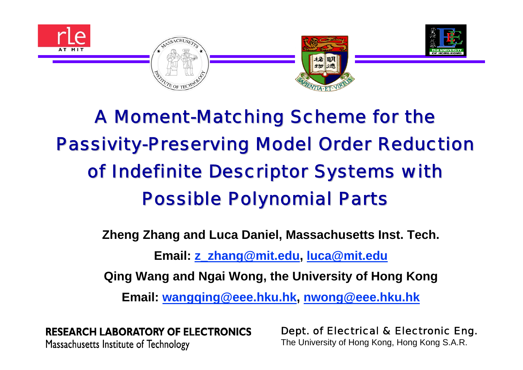

# A Moment-Matching Scheme for the **Passivity-Preserving Model Order Reduction** of Indefinite Descriptor Systems with **Possible Polynomial Parts**

**Zheng Zhang and Luca Daniel, Massachusetts Inst. Tech.**

**Email: [z\\_zhang@mit.edu](mailto:z_zhang@mit.edu), [luca@mit.edu](mailto:luca@mit.edu)**

**Qing Wang and Ngai Wong, the University of Hong Kong**

**Email: [wangqing@eee.hku.hk](mailto:wangqing@eee.hku.hk), [nwong@eee.hku.hk](mailto:nwong@eee.hku.hk)**

**RESEARCH LABORATORY OF ELECTRONICS** Massachusetts Institute of Technology

1The University of Hong Kong, Hong Kong S.A.R.Dept. of Electrical & Electronic Eng.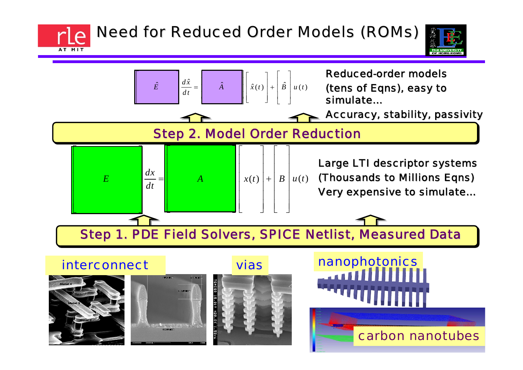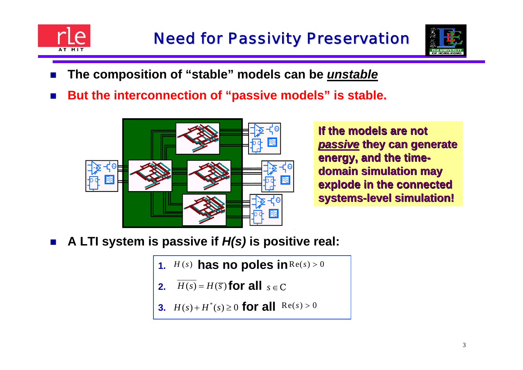



- $\mathbb{R}^2$ **The composition of "stable" models can be** *unstable*
- $\mathbb{R}^2$ **But the interconnection of "passive models" is stable.**



**If the models are not If the models are not passive they can generate energy, and the timedomain simulation may** explode in the connected **systems systems -level simulation! level simulation!** 

- $\mathbb{R}^2$  **A LTI system is passive if** *H(s)* **is positive real:**
	- **1.**  $H(s)$  has no poles in  $\text{Re}(s) > 0$
	- **2.***for all*  $s \in \mathbb{C}$
	- **3.**  $H(s) + H^*(s) \ge 0$  for all  $Re(s) > 0$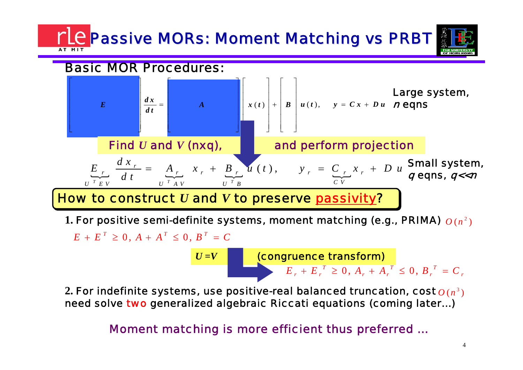# **<u>C</u> Passive MORs: Moment Matching vs PRBT**

## Basic MOR Procedures:



1. For positive semi-definite systems, moment matching (e.g., PRIMA)  $\it{O}$  ( $\it{n}^{\rm{2}}$ )

 $E + E^{T} \ge 0$ ,  $A + A^{T} \le 0$ ,  $B^{T} = C$ 

*U* **<sup>=</sup>***<sup>V</sup>* (congruence transform)

 $E_r + E_r^T \geq 0, A_r + A_r^T \leq 0, B_r^T = C_r^T$ 

2. For indefinite systems, use positive-real balanced truncation, cost  $O\left(n^{\beta}\right)$ need solve two generalized algebraic Riccati equations (coming later...)

Moment matching is more efficient thus preferred …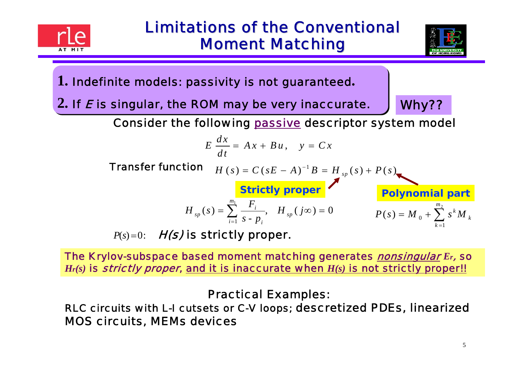



**1.** Indefinite models: passivity is not guaranteed**.**

 $2.$  If  $\boldsymbol{\mathit{E}}$  is singular, the ROM may be very inaccurate.  $\quad \int \textbf{W} \textbf{hy??}$ 

 $k=1$ 

Consider the following passive descriptor system model

$$
E\,\frac{dx}{dt} = Ax + Bu\,, \quad y = Cx
$$

 $$ 

tion

\n
$$
H(s) = C (sE - A)^{-1} B = H_{sp}(s) + P(s)
$$
\nStrictly proper

\n
$$
H_{sp}(s) = \sum_{i=1}^{m_1} \frac{F_i}{s - p_i}, \quad H_{sp}(j\infty) = 0
$$
\n
$$
P(s) = M_0 + \sum_{i=1}^{m_2} s^k M_k
$$

 $P(s)=0$ :  $\quad$  H(s) is strictly proper.

The Krylov-subspace based moment mat ching generat es nonsingular *Er*, so *Hr(s)* is strictly proper, and it is inaccurat e when *H(s)* is not st rictly proper!!

#### Practical Examples:

RLC circuits with L-I cutsets or C-V loops; descretized PDEs, linearized MOS circuits, MEMs devices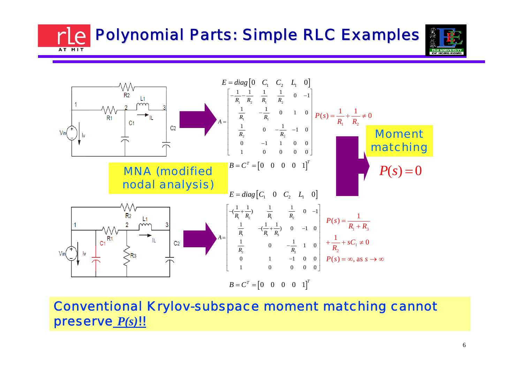**Polynomial Parts: Simple RLC Examples** AT MIT



Conventional Krylov-subspace moment matching cannot preserve *P(s)*!!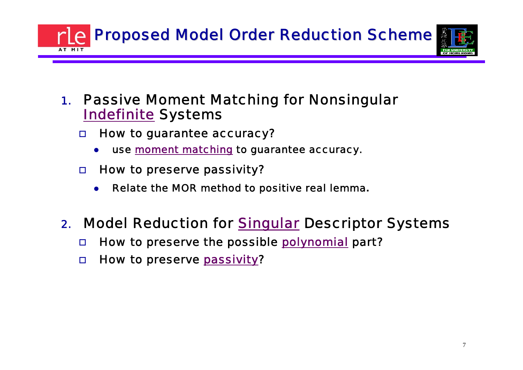**Proposed Model Order Reduction Scheme** 



- 1. Passive Moment Matching for Nonsingular <u>Indefinite</u> Systems
	- $\Box$  How to guarantee accuracy?
		- O use moment matching to guarantee accuracy.
	- $\Box$  How to preserve passivity?
		- $\bullet$ Relate the MOR method to positive real lemma**.**

## 2. Model Reduction for <u>Singular</u> Descriptor Systems

- $\Box$ How to preserve the possible polynomial part?
- $\Box$ □ How to preserve <u>passivity</u>?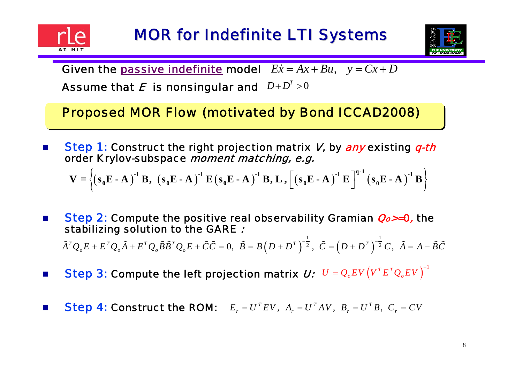

m.



Given the <u>passive indefinite</u> model  $E\dot{x} = Ax + Bu$ ,  $y = Cx + D$ 

Assume that  $\boldsymbol{E}$  is nonsingular and  $\left| D+D'\geq0\right|$  $D+D^{T}$ 

Proposed MOR Flow (motivated by Bond ICCAD2008)

× ■ Step 1: Construct the right projection matrix V, by any existing q-th order Krylov-subspace moment matching, e.g.

$$
V = \left\{ (s_0E - A)^{-1} B, (s_0E - A)^{-1} E (s_0E - A)^{-1} B, L, \left[ (s_0E - A)^{-1} E \right]^{q-1} (s_0E - A)^{-1} B \right\}
$$

■ Step 2: Compute the positive real observability Gramian *Qo>=*0, the stabilizing solution to the GARE  $\boldsymbol{\mathit{.}}$ 

 $\tilde{A}^TQ_oE+E^TQ_o\tilde{A}+E^TQ_o\tilde{B}\tilde{B}^TQ_oE+\tilde{C}\tilde{C}=0,\,\,\,\tilde{B}=B\Big(D+D^T\,\Big)^{-\frac{1}{2}}\,,\,\,\,\tilde{C}=\Big(D+D^T\,\Big)^{-\frac{1}{2}}\,C\,,\,\,\,\tilde{A}=A-\tilde{B}\tilde{C}$  $\tilde{A}^T Q_\alpha E + E^T Q_\alpha \tilde{A} + E^T Q_\alpha \tilde{B} \tilde{B}^T Q_\alpha E + \tilde{C} \tilde{C} = 0, ~~ \tilde{B} = B \left( D + D^T \right)^{-\frac{1}{2}}, ~~ \tilde{C} = \left( D + D^T \right)^{-\frac{1}{2}} C, ~~ \tilde{A} = A - \tilde{C}$  $\tilde{B} = R(D + D^T)^{-\frac{1}{2}}$   $\tilde{C} = (D + D^T)^{-\frac{1}{2}}C$   $\tilde{A} = A - \tilde{B}\tilde{C}$ 

- Step 3: Compute the left projection matrix  $\bm{U}: \ \ U = Q_oEV\left(V^TE^TQ_oEV\right)^{-1}$ ×
- × **Step 4: Construct the ROM:**  $E_r = U^T E V, A_r = U^T A V, B_r = U^T B, C_r = CV$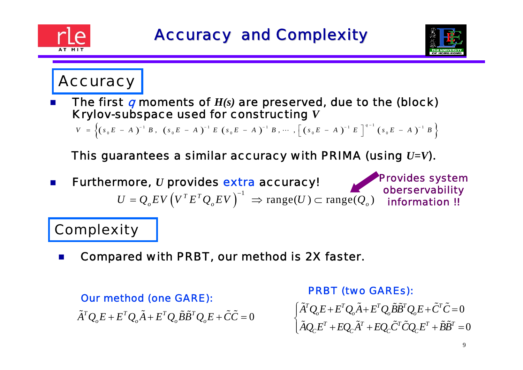



information !!

# **Accuracy**

× **The first q moments of**  $H(s)$  are preserved, due to the (block) Krylov-subspace used for constructing *V*

 $V \;\; = \; \left\{ \left(\,s_{\,0} \,E \; - \; A\,\,\right)^{-\, 1} \; B \; , \;\; \left(\,s_{\,0} \,E \; - \; A\,\,\right)^{-\, 1} \; E \;\; \left(\,s_{\,0} \,E \; - \; A\,\,\right)^{-\, 1} \; B \; , \; \cdots \; \; , \; \left[\; \left(\,s_{\,0} \,E \; - \; A\,\,\right)^{-\, 1} \; E \;\; \right]^{\,q \, -\, 1} \; \left(\,s_{\,0} \,E \; - \; A\,\,\right)^{-\, 1}$  $\cdots$ ,  $\begin{bmatrix} S_0 E & -A \end{bmatrix}$   $E$   $\begin{bmatrix} S_0 E & -B \end{bmatrix}$ 

This guarantees a similar accuracy with PRIMA (using *U=V*).

 $U = Q_o E V \left( V^T E^T Q_o E V \right)^{-1} \Rightarrow \text{range}(U) \subset \text{range}(Q_o)$  $= Q_e$  EV  $(V^T E^T Q_e E V)^{-1} \Rightarrow \text{range}(U) \subset$ P. **Furthermore,** *U* **provides extra accuracy!** Provides system oberservability

## **Complexity**

× Compared with PRBT, our method is 2X faster.

 $\tilde{A}^TQ_oE+E^TQ_o\tilde{A}+E^TQ_o\tilde{B}\tilde{B}^TQ_oE+\tilde{C}\tilde{C}=0$ 

 $\rm 0$  $\rm 0$  $^{T}Q_{o}E + E^{T}Q_{o}\ddot{A} + E^{T}Q_{o}\ddot{B}\ddot{B}^{T}Q_{o}E + \ddot{C}^{T}$  $P_{\mathcal{C}}E^T + EQ_{\mathcal{C}}A^T + EQ_{\mathcal{C}}C^T CQ_{\mathcal{C}}E^T + \ddot{B}\ddot{B}^T$  $A^{\prime}Q_{o}E + E^{\prime}Q_{o}A + E^{\prime}Q_{o}BB^{\prime}Q_{o}E + C^{\prime}C$  $A Q_c E^{\prime} + E Q_c A^{\prime} + E Q_c C^{\prime} C Q_c E^{\prime} + BB$  $\begin{cases} \tilde{A}^TQ_oE+F^TQ_o\tilde{A}+E^TQ_o\tilde{B}\tilde{B}^TQ_oE+\tilde{C}^T\tilde{C}= \ \tilde{A}^T\tilde{C}^T\tilde{C}^T\tilde{C}^T\tilde{C}^T\tilde{C}^T\tilde{C}^T\tilde{C}^T\tilde{C}^T\tilde{C}^T\tilde{C}^T\tilde{C}^T\tilde{C}^T\tilde{C}^T\tilde{C}^T\tilde{C}^T\tilde{C}^T\tilde{C}^T\tilde{C}^T\tilde{$  $\left[ \tilde{A}Q_{c}E^{T}+EQ_{c}\tilde{A}^{T}+EQ_{c}\tilde{C}^{T}\tilde{C}Q_{c}E^{T}+\tilde{B}\tilde{B}^{T}=\right]$  $\tilde{A}^T\Omega\ E\bot\ E^T\Omega\ \tilde{A}\bot\ E^T\Omega\ \tilde{B}\tilde{B}^T\Omega\ E\bot\tilde{C}^T\tilde{C}$  $\tilde{A}O$   $F^T + FO$   $\tilde{A}^T + FO$   $\tilde{C}^T\tilde{C}O$   $F^T + \tilde{B}\tilde{B}$ Our method (one GARE): PRBT (two GAREs):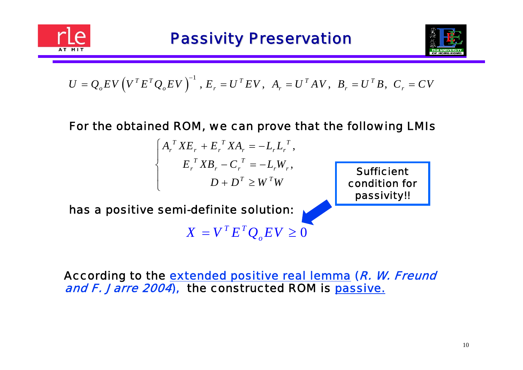



$$
U = Q_o EV \left( V^T E^T Q_o EV \right)^{-1}, E_r = U^T EV, A_r = U^T AV, B_r = U^T B, C_r = CV
$$

#### For the obtained ROM, we can prove that the following LMIs

$$
\begin{cases}\nA_r^T X E_r + E_r^T X A_r = -L_r L_r^T, \\
E_r^T X B_r - C_r^T = -L_r W_r, \\
D + D^T \ge W^T W\n\end{cases}
$$

**Sufficient** condition for passivity!!

has a positive semi-definite solution:

 $X = V^T E^T Q_o E V \geq 0$ 

According to the <u>extended positive real lemma</u> (*R. W. Freund* and F. Jarre 2004), the constructed ROM is passive.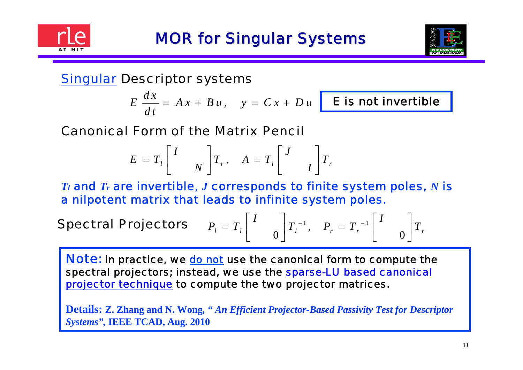



## Singular Descriptor systems

$$
E\,\frac{dx}{dt} = A\,x + B\,u\,,\quad y = C\,x + D\,u
$$

E is not invertible

## Canonical Form of the Matrix Pencil

$$
E = T_{l} \begin{bmatrix} I \\ N \end{bmatrix} T_{r}, \quad A = T_{l} \begin{bmatrix} J \\ I \end{bmatrix} T_{r}
$$

*Tl* and *Tr* are invertible, *J* corresponds to finite system poles, *N* is a nilpotent matrix that leads to infinite system poles.

**Spectral Projectors** 

$$
P_{l} = T_{l} \begin{bmatrix} I \\ 0 \end{bmatrix} T_{l}^{-1}, \quad P_{r} = T_{r}^{-1} \begin{bmatrix} I \\ 0 \end{bmatrix} T_{r}
$$

**Note:** in practice, we do not use the canonical form to compute the spectral projectors; instead, we use the sparse-LU based canonical projector technique to compute the two projector matrices.

**Details: Z. Zhang and N. Wong***, " An Efficient Projector-Based Passivity Test for Descriptor Systems",* **IEEE TCAD, Aug. 2010**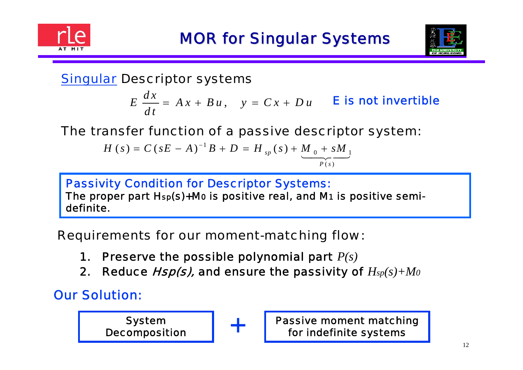



## Singular Descriptor systems

, *d <sup>x</sup>* $E\ \frac{dx}{dt} = Ax + Bu\,, \quad y = Cx + Du\,$  **E** is not invertible

## The transfer function of a passive descriptor system:

$$
H(s) = C(sE - A)^{-1}B + D = H_{sp}(s) + \underbrace{M_{0} + sM_{1}}_{P(s)}
$$

#### Passivity Condition for Descriptor Systems: The proper part Hsp(s)+M 0 is positive real, and M1 is positive semidefinite.

Requirements for our moment-matching flow:

- 1. Preserve the possible polynomial part *P(s)*
- 2. Reduce Hsp(s), and ensure the passivity of *Hsp(s)+M0*

+

## Our Solution:

System Decomposition Passive moment matching for indefinite systems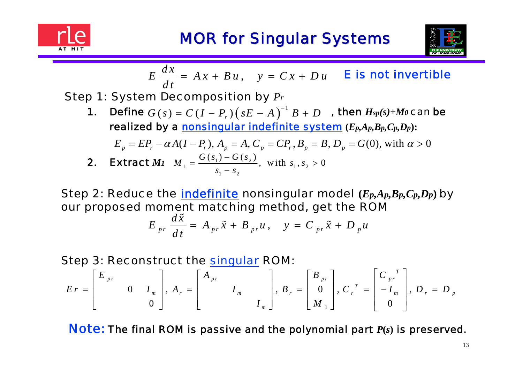



$$
E \frac{dx}{dt} = Ax + Bu, \quad y = Cx + Du \quad \text{E is not invertible}
$$

Step 1: System Decomposition by *P r*

**1.** Define  $G(s) = C(I - P_r)(sE - A)^{-1}B + D$  , then  $H_{sp}(s) + M_0$  can be realized by a nonsingular indefinite system **(***Ep,Ap,Bp,Cp,Dp***):**

$$
E_p = EP_r - \alpha A (I - P_r), A_p = A, C_p = CP_r, B_p = B, D_p = G(0), \text{ with } \alpha > 0
$$
  
**2. Extract** M1  $M_1 = \frac{G(s_1) - G(s_2)}{s_1 - s_2}$ , with  $s_1, s_2 > 0$ 

Step 2: Reduce the indefinite nonsingular model **(** *Ep,Ap,Bp,Cp,Dp* **)** by our proposed moment matching method, get the ROM  $\tilde{\phantom{a}}$ 

$$
E_{pr}\frac{d\tilde{x}}{dt}=A_{pr}\tilde{x}+B_{pr}u\,,\quad y=C_{pr}\tilde{x}+D_{p}u
$$

Step 3: Reconstruct the singular ROM:

$$
Er = \begin{bmatrix} E_{pr} & & \\ & 0 & I_m \\ & & 0 \end{bmatrix}, A_r = \begin{bmatrix} A_{pr} & & \\ & I_m & \\ & & I_m \end{bmatrix}, B_r = \begin{bmatrix} B_{pr} \\ 0 \\ M_1 \end{bmatrix}, C_r^T = \begin{bmatrix} C_{pr} \\ -I_m \\ 0 \end{bmatrix}, D_r = D_p
$$

Note: The final ROM is passive and the polynomial part *P***(***s***)** is preserved.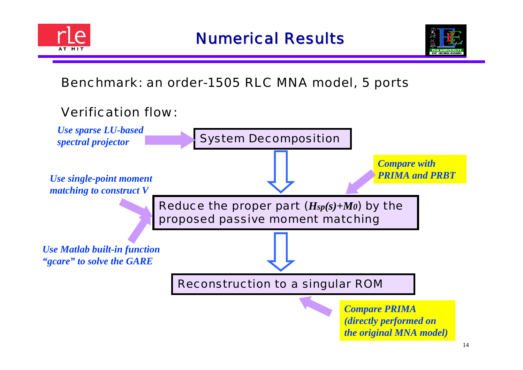



## Benchmark: an order-1505 RLC MNA model, 5 ports



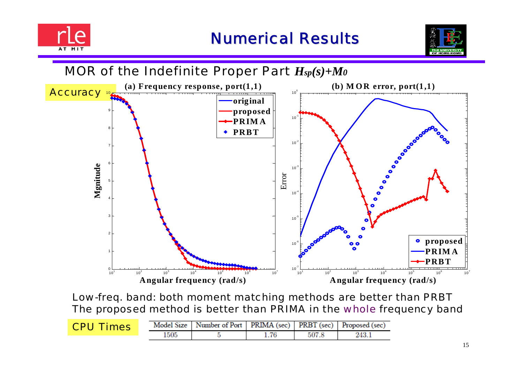



## MOR of the Indefinite Proper Part *Hsp(s)+M0*



Low-freq. band: both moment matching methods are better than PRBT The proposed method is better than PRIMA in the whole frequency band

| <b>CPU Times</b> |      | Model Size   Number of Port   PRIMA (sec)   PRBT (sec)   Proposed (sec) |       |  |
|------------------|------|-------------------------------------------------------------------------|-------|--|
|                  | 1505 |                                                                         | 507.8 |  |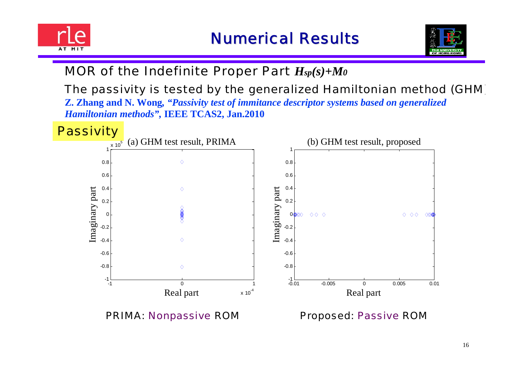



## MOR of the Indefinite Proper Part *Hsp(s)+M0*

### The passivity is tested by the generalized Hamiltonian method (GHM )

**Z. Zhang and N. Wong***, "Passivity test of immitance descriptor systems based on generalized Hamiltonian methods",* **IEEE TCAS2, Jan.2010**



#### PRIMA: Nonpassive ROM Proposed: Passive ROM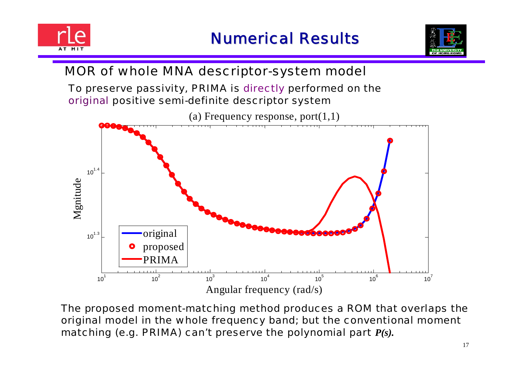



## MOR of whole MNA descriptor-system model

To preserve passivity, PRIMA is directly performed on the original positive semi-definite descriptor system



The proposed moment-matching method produces a ROM that overlaps the original model in the whole frequency band; but the conventional moment matching (e.g. PRIMA) can't preserve the polynomial part *P(s).*